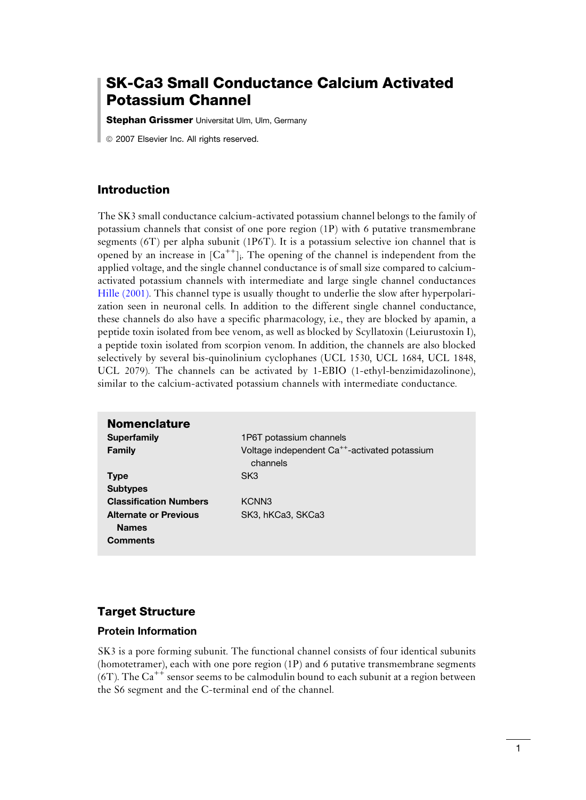# SK-Ca3 Small Conductance Calcium Activated Potassium Channel

**Stephan Grissmer** Universitat Ulm, Ulm, Germany

*ã* 2007 Elsevier Inc. All rights reserved.

#### Introduction

The SK3 small conductance calcium-activated potassium channel belongs to the family of potassium channels that consist of one pore region (1P) with 6 putative transmembrane segments (6T) per alpha subunit (1P6T). It is a potassium selective ion channel that is opened by an increase in  $[Ca^{++}]$ . The opening of the channel is independent from the applied voltage, and the single channel conductance is of small size compared to calciumactivated potassium channels with intermediate and large single channel conductances [Hille \(2001\).](#page-11-0) This channel type is usually thought to underlie the slow after hyperpolarization seen in neuronal cells. In addition to the different single channel conductance, these channels do also have a specific pharmacology, i.e., they are blocked by apamin, a peptide toxin isolated from bee venom, as well as blocked by Scyllatoxin (Leiurustoxin I), a peptide toxin isolated from scorpion venom. In addition, the channels are also blocked selectively by several bis-quinolinium cyclophanes (UCL 1530, UCL 1684, UCL 1848, UCL 2079). The channels can be activated by 1-EBIO (1-ethyl-benzimidazolinone), similar to the calcium-activated potassium channels with intermediate conductance.

| <b>Nomenclature</b>                          |                                                                       |
|----------------------------------------------|-----------------------------------------------------------------------|
| <b>Superfamily</b>                           | 1P6T potassium channels                                               |
| <b>Family</b>                                | Voltage independent Ca <sup>++</sup> -activated potassium<br>channels |
| <b>Type</b>                                  | SK <sub>3</sub>                                                       |
| <b>Subtypes</b>                              |                                                                       |
| <b>Classification Numbers</b>                | KCNN <sub>3</sub>                                                     |
| <b>Alternate or Previous</b><br><b>Names</b> | SK3, hKCa3, SKCa3                                                     |
| <b>Comments</b>                              |                                                                       |

#### Target Structure

#### Protein Information

SK3 is a pore forming subunit. The functional channel consists of four identical subunits (homotetramer), each with one pore region (1P) and 6 putative transmembrane segments  $(6T)$ . The Ca<sup>++</sup> sensor seems to be calmodulin bound to each subunit at a region between the S6 segment and the C-terminal end of the channel.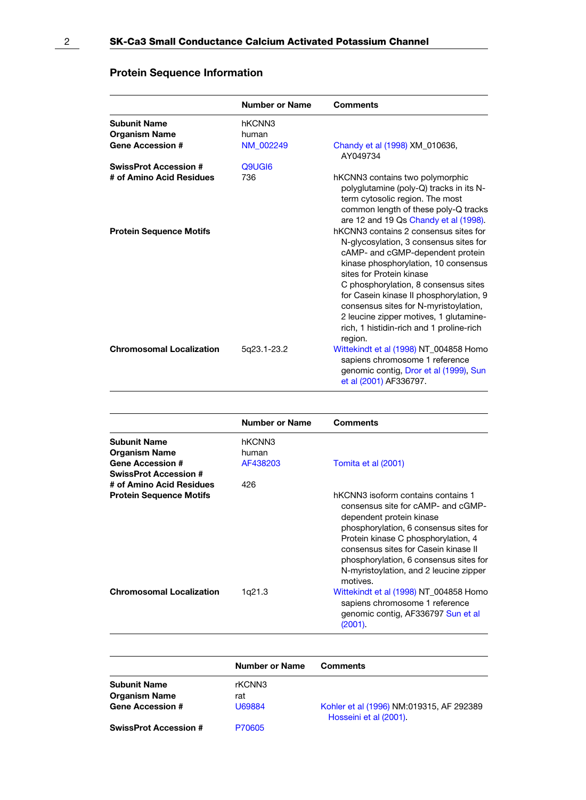# Protein Sequence Information

|                                             | Number or Name  | <b>Comments</b>                                                                                                                                                                                                                                                                                                                                                                                                      |
|---------------------------------------------|-----------------|----------------------------------------------------------------------------------------------------------------------------------------------------------------------------------------------------------------------------------------------------------------------------------------------------------------------------------------------------------------------------------------------------------------------|
| <b>Subunit Name</b><br><b>Organism Name</b> | hKCNN3<br>human |                                                                                                                                                                                                                                                                                                                                                                                                                      |
| <b>Gene Accession #</b>                     | NM_002249       | Chandy et al (1998) XM_010636,<br>AY049734                                                                                                                                                                                                                                                                                                                                                                           |
| <b>SwissProt Accession#</b>                 | Q9UGI6          |                                                                                                                                                                                                                                                                                                                                                                                                                      |
| # of Amino Acid Residues                    | 736             | hKCNN3 contains two polymorphic<br>polyglutamine (poly-Q) tracks in its N-<br>term cytosolic region. The most<br>common length of these poly-Q tracks<br>are 12 and 19 Qs Chandy et al (1998).                                                                                                                                                                                                                       |
| <b>Protein Sequence Motifs</b>              |                 | hKCNN3 contains 2 consensus sites for<br>N-glycosylation, 3 consensus sites for<br>cAMP- and cGMP-dependent protein<br>kinase phosphorylation, 10 consensus<br>sites for Protein kinase<br>C phosphorylation, 8 consensus sites<br>for Casein kinase II phosphorylation, 9<br>consensus sites for N-myristoylation,<br>2 leucine zipper motives, 1 glutamine-<br>rich, 1 histidin-rich and 1 proline-rich<br>region. |
| <b>Chromosomal Localization</b>             | 5q23.1-23.2     | Wittekindt et al (1998) NT_004858 Homo<br>sapiens chromosome 1 reference<br>genomic contig, Dror et al (1999), Sun<br>et al (2001) AF336797.                                                                                                                                                                                                                                                                         |

|                                 | <b>Number or Name</b> | Comments                                                                                                                                                                                                                                                                                                                      |
|---------------------------------|-----------------------|-------------------------------------------------------------------------------------------------------------------------------------------------------------------------------------------------------------------------------------------------------------------------------------------------------------------------------|
| <b>Subunit Name</b>             | hKCNN3                |                                                                                                                                                                                                                                                                                                                               |
| Organism Name                   | human                 |                                                                                                                                                                                                                                                                                                                               |
| <b>Gene Accession #</b>         | AF438203              | Tomita et al (2001)                                                                                                                                                                                                                                                                                                           |
| <b>SwissProt Accession #</b>    |                       |                                                                                                                                                                                                                                                                                                                               |
| # of Amino Acid Residues        | 426                   |                                                                                                                                                                                                                                                                                                                               |
| <b>Protein Sequence Motifs</b>  |                       | hKCNN3 isoform contains contains 1<br>consensus site for cAMP- and cGMP-<br>dependent protein kinase<br>phosphorylation, 6 consensus sites for<br>Protein kinase C phosphorylation, 4<br>consensus sites for Casein kinase II<br>phosphorylation, 6 consensus sites for<br>N-myristoylation, and 2 leucine zipper<br>motives. |
| <b>Chromosomal Localization</b> | 1q21.3                | Wittekindt et al (1998) NT_004858 Homo<br>sapiens chromosome 1 reference<br>genomic contig, AF336797 Sun et al<br>(2001).                                                                                                                                                                                                     |

| Number or Name                              |               | <b>Comments</b>                                                    |  |  |
|---------------------------------------------|---------------|--------------------------------------------------------------------|--|--|
| <b>Subunit Name</b><br><b>Organism Name</b> | rKCNN3<br>rat |                                                                    |  |  |
| <b>Gene Accession #</b>                     | U69884        | Kohler et al (1996) NM:019315, AF 292389<br>Hosseini et al (2001). |  |  |
| <b>SwissProt Accession #</b>                | P70605        |                                                                    |  |  |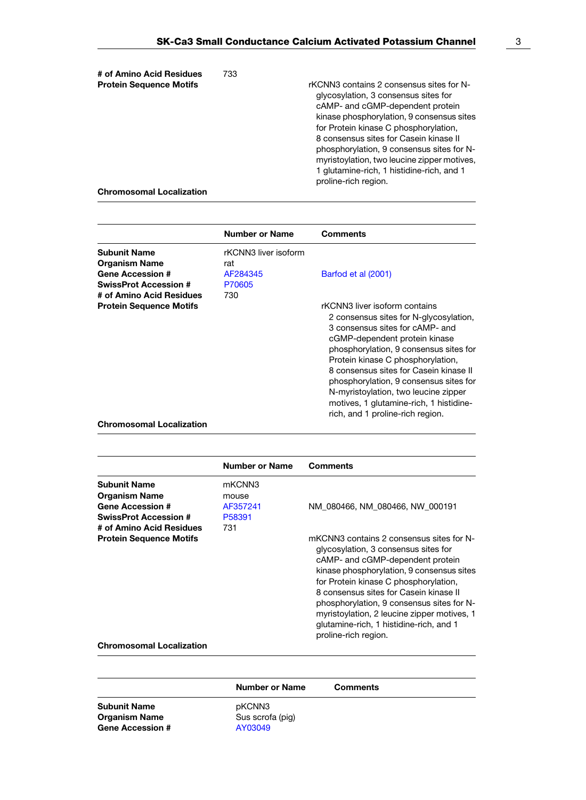| # of Amino Acid Residues<br><b>Protein Sequence Motifs</b> | 733 | rKCNN3 contains 2 consensus sites for N-<br>glycosylation, 3 consensus sites for<br>cAMP- and cGMP-dependent protein<br>kinase phosphorylation, 9 consensus sites<br>for Protein kinase C phosphorylation,<br>8 consensus sites for Casein kinase II<br>phosphorylation, 9 consensus sites for N-<br>myristoylation, two leucine zipper motives,<br>1 glutamine-rich, 1 histidine-rich, and 1 |
|------------------------------------------------------------|-----|-----------------------------------------------------------------------------------------------------------------------------------------------------------------------------------------------------------------------------------------------------------------------------------------------------------------------------------------------------------------------------------------------|
| <b>Chromosomal Localization</b>                            |     | proline-rich region.                                                                                                                                                                                                                                                                                                                                                                          |

|                                 | <b>Number or Name</b> | <b>Comments</b>                                                                                                                                                                                                                                                                                                                                                                                                                       |
|---------------------------------|-----------------------|---------------------------------------------------------------------------------------------------------------------------------------------------------------------------------------------------------------------------------------------------------------------------------------------------------------------------------------------------------------------------------------------------------------------------------------|
| <b>Subunit Name</b>             | rKCNN3 liver isoform  |                                                                                                                                                                                                                                                                                                                                                                                                                                       |
| <b>Organism Name</b>            | rat                   |                                                                                                                                                                                                                                                                                                                                                                                                                                       |
| <b>Gene Accession #</b>         | AF284345              | Barfod et al (2001)                                                                                                                                                                                                                                                                                                                                                                                                                   |
| <b>SwissProt Accession #</b>    | P70605                |                                                                                                                                                                                                                                                                                                                                                                                                                                       |
| # of Amino Acid Residues        | 730                   |                                                                                                                                                                                                                                                                                                                                                                                                                                       |
| <b>Protein Sequence Motifs</b>  |                       | rKCNN3 liver isoform contains<br>2 consensus sites for N-glycosylation,<br>3 consensus sites for cAMP- and<br>cGMP-dependent protein kinase<br>phosphorylation, 9 consensus sites for<br>Protein kinase C phosphorylation,<br>8 consensus sites for Casein kinase II<br>phosphorylation, 9 consensus sites for<br>N-myristoylation, two leucine zipper<br>motives, 1 glutamine-rich, 1 histidine-<br>rich, and 1 proline-rich region. |
| <b>Chromosomal Localization</b> |                       |                                                                                                                                                                                                                                                                                                                                                                                                                                       |

|                                 | <b>Number or Name</b> | Comments                                                                                                                                                                                                                                                                                                                                                                                                            |
|---------------------------------|-----------------------|---------------------------------------------------------------------------------------------------------------------------------------------------------------------------------------------------------------------------------------------------------------------------------------------------------------------------------------------------------------------------------------------------------------------|
| <b>Subunit Name</b>             | mKCNN3                |                                                                                                                                                                                                                                                                                                                                                                                                                     |
| <b>Organism Name</b>            | mouse                 |                                                                                                                                                                                                                                                                                                                                                                                                                     |
| <b>Gene Accession #</b>         | AF357241              | NM 080466, NM 080466, NW 000191                                                                                                                                                                                                                                                                                                                                                                                     |
| <b>SwissProt Accession #</b>    | P58391                |                                                                                                                                                                                                                                                                                                                                                                                                                     |
| # of Amino Acid Residues        | 731                   |                                                                                                                                                                                                                                                                                                                                                                                                                     |
| <b>Protein Sequence Motifs</b>  |                       | mKCNN3 contains 2 consensus sites for N-<br>glycosylation, 3 consensus sites for<br>cAMP- and cGMP-dependent protein<br>kinase phosphorylation, 9 consensus sites<br>for Protein kinase C phosphorylation,<br>8 consensus sites for Casein kinase II<br>phosphorylation, 9 consensus sites for N-<br>myristoylation, 2 leucine zipper motives, 1<br>glutamine-rich, 1 histidine-rich, and 1<br>proline-rich region. |
| <b>Chromosomal Localization</b> |                       |                                                                                                                                                                                                                                                                                                                                                                                                                     |

|                         | <b>Number or Name</b> | <b>Comments</b> |
|-------------------------|-----------------------|-----------------|
| Subunit Name            | pKCNN3                |                 |
| Organism Name           | Sus scrofa (pig)      |                 |
| <b>Gene Accession #</b> | AY03049               |                 |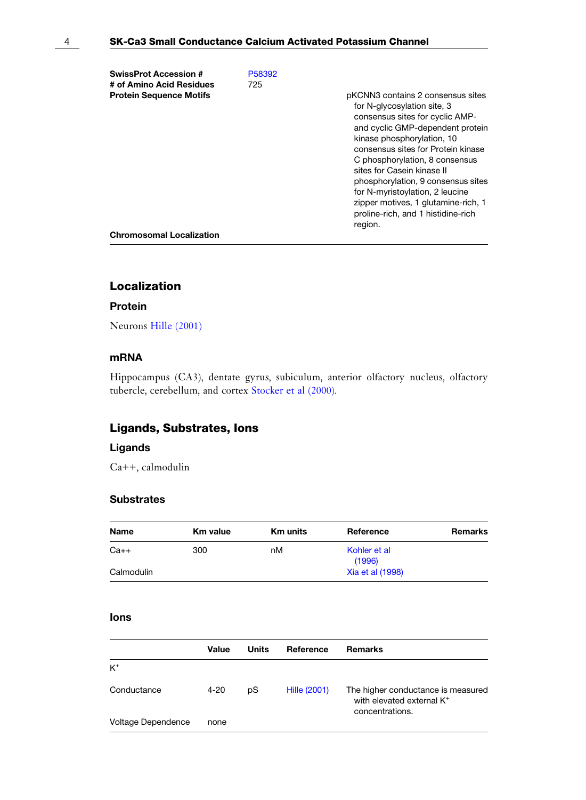| <b>SwissProt Accession #</b>    | P58392 |                                                                                                                                                                                                                                                                                                                                                                                                                                              |
|---------------------------------|--------|----------------------------------------------------------------------------------------------------------------------------------------------------------------------------------------------------------------------------------------------------------------------------------------------------------------------------------------------------------------------------------------------------------------------------------------------|
| # of Amino Acid Residues        | 725    |                                                                                                                                                                                                                                                                                                                                                                                                                                              |
| <b>Protein Sequence Motifs</b>  |        | pKCNN3 contains 2 consensus sites<br>for N-glycosylation site, 3<br>consensus sites for cyclic AMP-<br>and cyclic GMP-dependent protein<br>kinase phosphorylation, 10<br>consensus sites for Protein kinase<br>C phosphorylation, 8 consensus<br>sites for Casein kinase II<br>phosphorylation, 9 consensus sites<br>for N-myristoylation, 2 leucine<br>zipper motives, 1 glutamine-rich, 1<br>proline-rich, and 1 histidine-rich<br>region. |
| <b>Chromosomal Localization</b> |        |                                                                                                                                                                                                                                                                                                                                                                                                                                              |
|                                 |        |                                                                                                                                                                                                                                                                                                                                                                                                                                              |

# Localization

#### Protein

Neurons [Hille \(2001\)](#page-11-0)

#### mRNA

Hippocampus (CA3), dentate gyrus, subiculum, anterior olfactory nucleus, olfactory tubercle, cerebellum, and cortex [Stocker et al \(2000\)](#page-10-0).

## Ligands, Substrates, Ions

#### Ligands

Ca++, calmodulin

#### **Substrates**

| Name       | <b>Km</b> value | <b>Km units</b> | Reference              | Remarks |
|------------|-----------------|-----------------|------------------------|---------|
| $Ca++$     | 300             | nM              | Kohler et al<br>(1996) |         |
| Calmodulin |                 |                 | Xia et al (1998)       |         |

#### Ions

|                    | Value    | Units | Reference           | Remarks                                                                                        |
|--------------------|----------|-------|---------------------|------------------------------------------------------------------------------------------------|
| $K^+$              |          |       |                     |                                                                                                |
| Conductance        | $4 - 20$ | pS    | <b>Hille (2001)</b> | The higher conductance is measured<br>with elevated external K <sup>+</sup><br>concentrations. |
| Voltage Dependence | none     |       |                     |                                                                                                |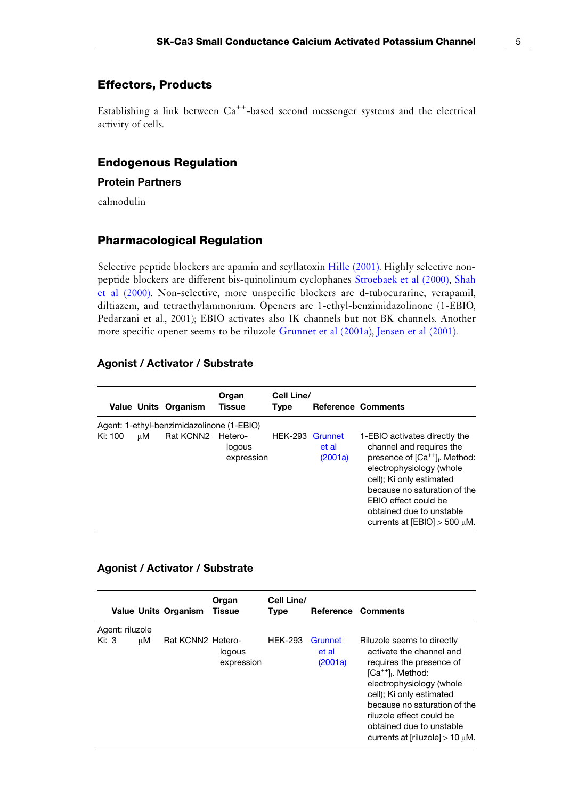#### Effectors, Products

Establishing a link between  $Ca^{++}$ -based second messenger systems and the electrical activity of cells.

#### Endogenous Regulation

#### Protein Partners

calmodulin

#### Pharmacological Regulation

Selective peptide blockers are apamin and scyllatoxin [Hille \(2001\).](#page-11-0) Highly selective nonpeptide blockers are different bis-quinolinium cyclophanes [Stroebaek et al \(2000\)](#page-11-0), [Shah](#page-10-0) [et al \(2000\).](#page-10-0) Non-selective, more unspecific blockers are d-tubocurarine, verapamil, diltiazem, and tetraethylammonium. Openers are 1-ethyl-benzimidazolinone (1-EBIO, Pedarzani et al., 2001); EBIO activates also IK channels but not BK channels. Another more specific opener seems to be riluzole [Grunnet et al \(2001a\),](#page-10-0) [Jensen et al \(2001\).](#page-10-0)

#### Agonist / Activator / Substrate

|         |    | <b>Value Units Organism</b>                            | Organ<br><b>Tissue</b>          | Cell Line/<br><b>Type</b> |                  | <b>Reference Comments</b>                                                                                                                                                                                                                                                                             |
|---------|----|--------------------------------------------------------|---------------------------------|---------------------------|------------------|-------------------------------------------------------------------------------------------------------------------------------------------------------------------------------------------------------------------------------------------------------------------------------------------------------|
| Ki: 100 | цM | Agent: 1-ethyl-benzimidazolinone (1-EBIO)<br>Rat KCNN2 | Hetero-<br>logous<br>expression | HEK-293 Grunnet           | et al<br>(2001a) | 1-EBIO activates directly the<br>channel and requires the<br>presence of [Ca <sup>++</sup> ] <sub>i</sub> . Method:<br>electrophysiology (whole<br>cell); Ki only estimated<br>because no saturation of the<br>EBIO effect could be<br>obtained due to unstable<br>currents at $[EBIO] > 500 \mu M$ . |

#### Agonist / Activator / Substrate

|         |                 |    | <b>Value Units Organism</b> | Organ<br><b>Tissue</b> | Cell Line/<br><b>Type</b> |                             | Reference Comments                                                                                                                                                                                                                                                                               |
|---------|-----------------|----|-----------------------------|------------------------|---------------------------|-----------------------------|--------------------------------------------------------------------------------------------------------------------------------------------------------------------------------------------------------------------------------------------------------------------------------------------------|
|         | Agent: riluzole |    |                             |                        |                           |                             |                                                                                                                                                                                                                                                                                                  |
| Ki: $3$ |                 | uМ | Rat KCNN2 Hetero-           | logous<br>expression   | <b>HFK-293</b>            | Grunnet<br>et al<br>(2001a) | Riluzole seems to directly<br>activate the channel and<br>requires the presence of<br>$[Ca++]$ . Method:<br>electrophysiology (whole<br>cell); Ki only estimated<br>because no saturation of the<br>riluzole effect could be<br>obtained due to unstable<br>currents at [riluzole] $> 10 \mu$ M. |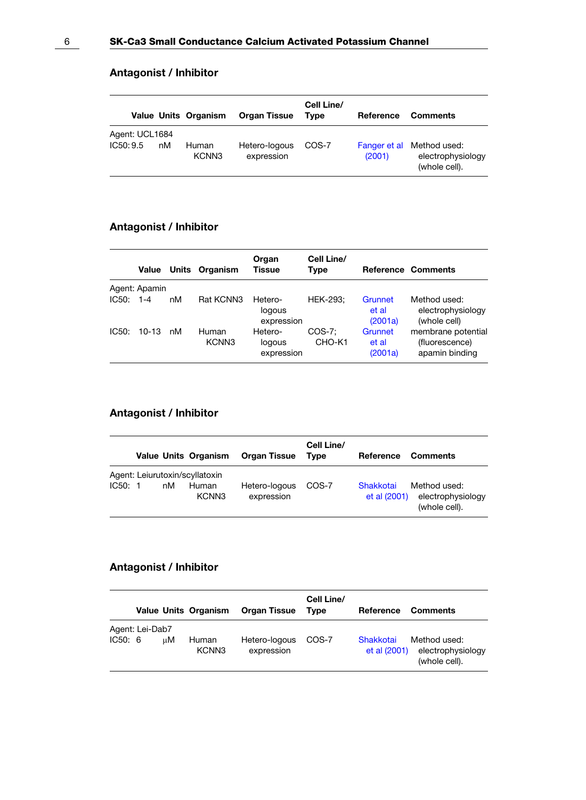|                            |    | Value Units Organism | <b>Organ Tissue</b>         | Cell Line/<br>Tvpe | Reference | <b>Comments</b>                                                 |
|----------------------------|----|----------------------|-----------------------------|--------------------|-----------|-----------------------------------------------------------------|
| Agent: UCL1684<br>IC50:9.5 | пM | Human<br>KCNN3       | Hetero-logous<br>expression | COS-7              | (2001)    | Fanger et al Method used:<br>electrophysiology<br>(whole cell). |

### Antagonist / Inhibitor

|       | Value         |    | Units Organism             | Organ<br>Tissue                 | Cell Line/<br>Type |                             | <b>Reference Comments</b>                              |
|-------|---------------|----|----------------------------|---------------------------------|--------------------|-----------------------------|--------------------------------------------------------|
|       | Agent: Apamin |    |                            |                                 |                    |                             |                                                        |
| IC50: | $1 - 4$       | nM | Rat KCNN3                  | Hetero-<br>logous<br>expression | <b>HEK-293:</b>    | Grunnet<br>et al<br>(2001a) | Method used:<br>electrophysiology<br>(whole cell)      |
| IC50. | 10-13         | nM | Human<br>KCNN <sub>3</sub> | Hetero-<br>logous<br>expression | COS-7:<br>CHO-K1   | Grunnet<br>et al<br>(2001a) | membrane potential<br>(fluorescence)<br>apamin binding |

### Antagonist / Inhibitor

|                                          |    | <b>Value Units Organism</b> | <b>Organ Tissue</b>         | Cell Line/<br>Type | Reference                 | <b>Comments</b>                                    |
|------------------------------------------|----|-----------------------------|-----------------------------|--------------------|---------------------------|----------------------------------------------------|
| Agent: Leiurutoxin/scyllatoxin<br>IC50:1 | nM | Human<br>KCNN <sub>3</sub>  | Hetero-logous<br>expression | COS-7              | Shakkotai<br>et al (2001) | Method used:<br>electrophysiology<br>(whole cell). |

# Antagonist / Inhibitor

|         |                 |    | <b>Value Units Organism</b> | <b>Organ Tissue</b>         | Cell Line/<br><b>Type</b> | Reference                 | <b>Comments</b>                                    |
|---------|-----------------|----|-----------------------------|-----------------------------|---------------------------|---------------------------|----------------------------------------------------|
| IC50: 6 | Agent: Lei-Dab7 | иM | Human<br>KCNN3              | Hetero-logous<br>expression | COS-7                     | Shakkotai<br>et al (2001) | Method used:<br>electrophysiology<br>(whole cell). |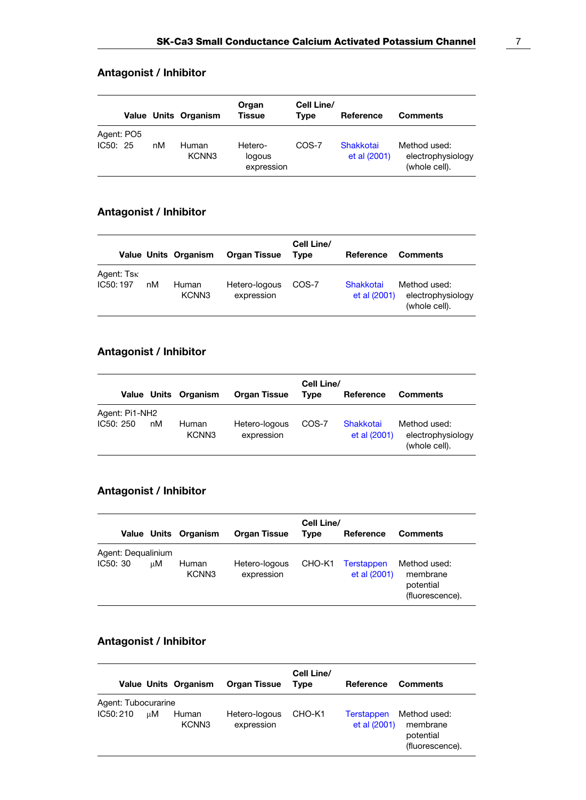|                        |    | Value Units Organism       | Organ<br>Tissue                 | Cell Line/<br>Tvpe | Reference                 | <b>Comments</b>                                    |
|------------------------|----|----------------------------|---------------------------------|--------------------|---------------------------|----------------------------------------------------|
| Agent: PO5<br>IC50: 25 | nM | Human<br>KCNN <sub>3</sub> | Hetero-<br>logous<br>expression | COS-7              | Shakkotai<br>et al (2001) | Method used:<br>electrophysiology<br>(whole cell). |

### Antagonist / Inhibitor

|                         |    | Value Units Organism       | <b>Organ Tissue</b>         | Cell Line/<br>Tvpe | Reference                 | <b>Comments</b>                                    |
|-------------------------|----|----------------------------|-----------------------------|--------------------|---------------------------|----------------------------------------------------|
| Agent: Tsk<br>IC50: 197 | nM | Human<br>KCNN <sub>3</sub> | Hetero-logous<br>expression | COS-7              | Shakkotai<br>et al (2001) | Method used:<br>electrophysiology<br>(whole cell). |

# Antagonist / Inhibitor

|                             |    | Value Units Organism | <b>Organ Tissue</b>         | Cell Line/<br>Tvpe | Reference                 | <b>Comments</b>                                    |
|-----------------------------|----|----------------------|-----------------------------|--------------------|---------------------------|----------------------------------------------------|
| Agent: Pi1-NH2<br>IC50: 250 | nM | Human<br>KCNN3       | Hetero-logous<br>expression | COS-7              | Shakkotai<br>et al (2001) | Method used:<br>electrophysiology<br>(whole cell). |

### Antagonist / Inhibitor

|                                |    | Value Units Organism       | <b>Organ Tissue</b>         | Cell Line/<br>Reference<br>Type |                            | <b>Comments</b>                                          |
|--------------------------------|----|----------------------------|-----------------------------|---------------------------------|----------------------------|----------------------------------------------------------|
|                                |    |                            |                             |                                 |                            |                                                          |
| Agent: Dequalinium<br>IC50: 30 | цM | Human<br>KCNN <sub>3</sub> | Hetero-logous<br>expression | CHO-K1                          | Terstappen<br>et al (2001) | Method used:<br>membrane<br>potential<br>(fluorescence). |

# Antagonist / Inhibitor

|                                 |    | Value Units Organism       | <b>Organ Tissue</b>         | Cell Line/<br>Tvpe | Reference                         | <b>Comments</b>                                          |
|---------------------------------|----|----------------------------|-----------------------------|--------------------|-----------------------------------|----------------------------------------------------------|
| Agent: Tubocurarine<br>IC50:210 | иM | Human<br>KCNN <sub>3</sub> | Hetero-logous<br>expression | CHO-K1             | <b>Terstappen</b><br>et al (2001) | Method used:<br>membrane<br>potential<br>(fluorescence). |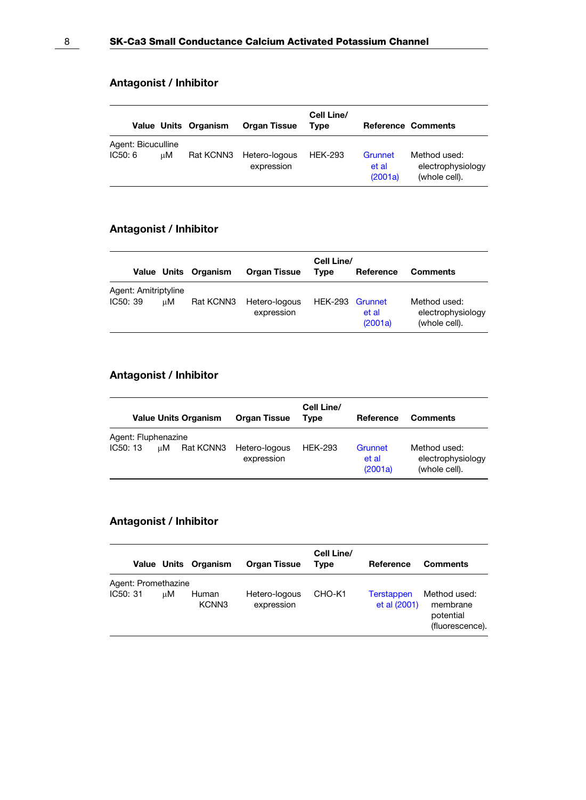|                              |    | Value Units Organism | <b>Organ Tissue</b>         | Cell Line/<br>Tvpe |                             | <b>Reference Comments</b>                          |
|------------------------------|----|----------------------|-----------------------------|--------------------|-----------------------------|----------------------------------------------------|
| Agent: Bicuculline<br>IC50:6 | цM | Rat KCNN3            | Hetero-logous<br>expression | <b>HEK-293</b>     | Grunnet<br>et al<br>(2001a) | Method used:<br>electrophysiology<br>(whole cell). |

### Antagonist / Inhibitor

|                                  |    | Value Units Organism | <b>Organ Tissue</b>         | Cell Line/<br>Tvpe | Reference        | <b>Comments</b>                                    |
|----------------------------------|----|----------------------|-----------------------------|--------------------|------------------|----------------------------------------------------|
| Agent: Amitriptyline<br>IC50: 39 | uМ | Rat KCNN3            | Hetero-logous<br>expression | HEK-293 Grunnet    | et al<br>(2001a) | Method used:<br>electrophysiology<br>(whole cell). |

### Antagonist / Inhibitor

|                                 |    | <b>Value Units Organism</b> | <b>Organ Tissue</b>                   | Cell Line/<br>Tvpe | Reference                   | <b>Comments</b>                                    |
|---------------------------------|----|-----------------------------|---------------------------------------|--------------------|-----------------------------|----------------------------------------------------|
| Agent: Fluphenazine<br>IC50: 13 | uМ |                             | Rat KCNN3 Hetero-logous<br>expression | <b>HEK-293</b>     | Grunnet<br>et al<br>(2001a) | Method used:<br>electrophysiology<br>(whole cell). |

### Antagonist / Inhibitor

|                                 |    | Value Units Organism       | <b>Organ Tissue</b>         | Cell Line/<br>Type | Reference                         | <b>Comments</b>                                          |
|---------------------------------|----|----------------------------|-----------------------------|--------------------|-----------------------------------|----------------------------------------------------------|
| Agent: Promethazine<br>IC50: 31 | иM | Human<br>KCNN <sub>3</sub> | Hetero-logous<br>expression | CHO-K1             | <b>Terstappen</b><br>et al (2001) | Method used:<br>membrane<br>potential<br>(fluorescence). |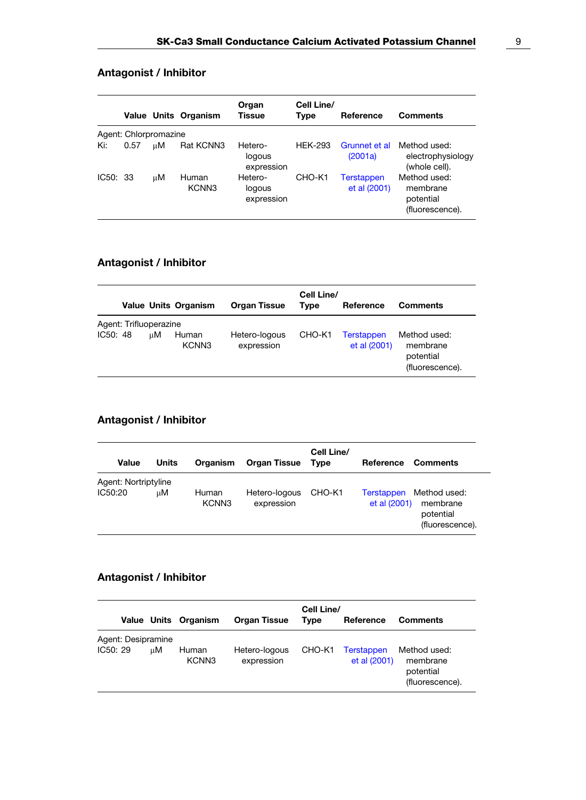|          |                       |    | <b>Value Units Organism</b> | Organ<br>Tissue                 | Cell Line/<br><b>Type</b> | Reference                  | <b>Comments</b>                                          |
|----------|-----------------------|----|-----------------------------|---------------------------------|---------------------------|----------------------------|----------------------------------------------------------|
|          | Agent: Chlorpromazine |    |                             |                                 |                           |                            |                                                          |
| Ki:      | 0.57                  | иM | Rat KCNN3                   | Hetero-<br>logous<br>expression | <b>HEK-293</b>            | Grunnet et al<br>(2001a)   | Method used:<br>electrophysiology<br>(whole cell).       |
| IC50: 33 |                       | иM | Human<br>KCNN <sub>3</sub>  | Hetero-<br>logous<br>expression | CHO-K1                    | Terstappen<br>et al (2001) | Method used:<br>membrane<br>potential<br>(fluorescence). |

### Antagonist / Inhibitor

|          |                        |    | <b>Value Units Organism</b> | <b>Organ Tissue</b>         | Cell Line/<br><b>Type</b> | Reference                         | <b>Comments</b>                                          |
|----------|------------------------|----|-----------------------------|-----------------------------|---------------------------|-----------------------------------|----------------------------------------------------------|
| IC50: 48 | Agent: Trifluoperazine | uМ | Human<br>KCNN3              | Hetero-logous<br>expression | CHO-K1                    | <b>Terstappen</b><br>et al (2001) | Method used:<br>membrane<br>potential<br>(fluorescence). |

# Antagonist / Inhibitor

| Value                           | Units | Organism                   | <b>Organ Tissue</b>         | Cell Line/<br><b>Type</b> | Reference Comments                |                                                          |
|---------------------------------|-------|----------------------------|-----------------------------|---------------------------|-----------------------------------|----------------------------------------------------------|
| Agent: Nortriptyline<br>IC50:20 | uМ    | Human<br>KCNN <sub>3</sub> | Hetero-logous<br>expression | CHO-K1                    | <b>Terstappen</b><br>et al (2001) | Method used:<br>membrane<br>potential<br>(fluorescence). |

# Antagonist / Inhibitor

|                                |    | Value Units Organism | <b>Organ Tissue</b>         | Cell Line/<br>Type | Reference                  | <b>Comments</b>                                          |
|--------------------------------|----|----------------------|-----------------------------|--------------------|----------------------------|----------------------------------------------------------|
| Agent: Desipramine<br>IC50: 29 | uМ | Human<br>KCNN3       | Hetero-logous<br>expression | CHO-K1             | Terstappen<br>et al (2001) | Method used:<br>membrane<br>potential<br>(fluorescence). |

J.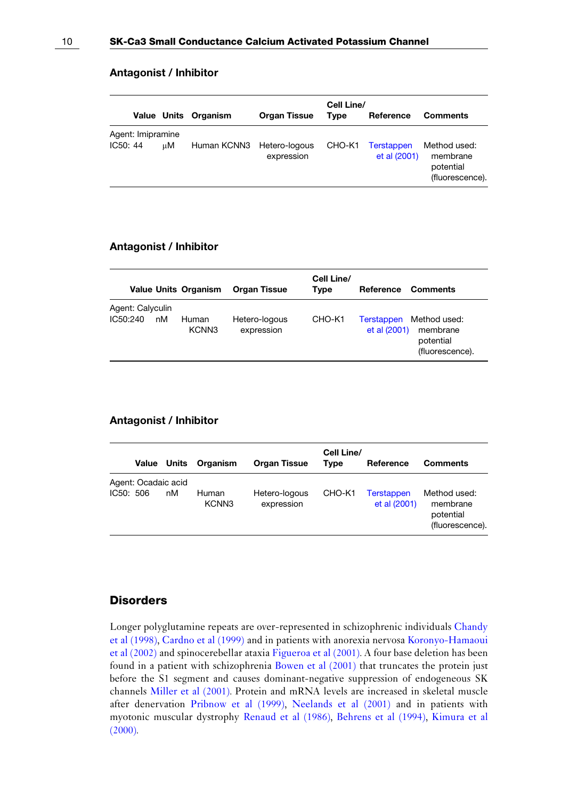|          |                   |    | Value Units Organism      | <b>Organ Tissue</b> | Cell Line/<br>Type | Reference                         | <b>Comments</b>                                          |
|----------|-------------------|----|---------------------------|---------------------|--------------------|-----------------------------------|----------------------------------------------------------|
| IC50: 44 | Agent: Imipramine | uМ | Human KCNN3 Hetero-logous | expression          | CHO-K1             | <b>Terstappen</b><br>et al (2001) | Method used:<br>membrane<br>potential<br>(fluorescence). |

#### Antagonist / Inhibitor

| <b>Value Units Organism</b>                 | <b>Organ Tissue</b>                              | Cell Line/<br>Type | Reference                  | <b>Comments</b>                                          |
|---------------------------------------------|--------------------------------------------------|--------------------|----------------------------|----------------------------------------------------------|
| Agent: Calyculin<br>IC50:240<br>nM<br>Human | Hetero-logous<br>KCNN <sub>3</sub><br>expression | CHO-K1             | Terstappen<br>et al (2001) | Method used:<br>membrane<br>potential<br>(fluorescence). |

#### Antagonist / Inhibitor

|           | <b>Value Units</b>  |    | Organism       | <b>Organ Tissue</b>         | Cell Line/<br>Type | Reference                         | <b>Comments</b>                                          |
|-----------|---------------------|----|----------------|-----------------------------|--------------------|-----------------------------------|----------------------------------------------------------|
| IC50: 506 | Agent: Ocadaic acid | nM | Human<br>KCNN3 | Hetero-logous<br>expression | CHO-K1             | <b>Terstappen</b><br>et al (2001) | Method used:<br>membrane<br>potential<br>(fluorescence). |

#### **Disorders**

Longer polyglutamine repeats are over-represented in schizophrenic individuals [Chandy](#page-10-0) [et al \(1998\)](#page-10-0), [Cardno et al \(1999\)](#page-10-0) and in patients with anorexia nervosa [Koronyo-Hamaoui](#page-10-0) [et al \(2002\)](#page-10-0) and spinocerebellar ataxia [Figueroa et al \(2001\).](#page-10-0) A four base deletion has been found in a patient with schizophrenia [Bowen et al \(2001\)](#page-10-0) that truncates the protein just before the S1 segment and causes dominant-negative suppression of endogeneous SK channels [Miller et al \(2001\).](#page-10-0) Protein and mRNA levels are increased in skeletal muscle after denervation [Pribnow et al \(1999\),](#page-10-0) [Neelands et al \(2001\)](#page-10-0) and in patients with myotonic muscular dystrophy [Renaud et al \(1986\)](#page-10-0), [Behrens et al \(1994\),](#page-10-0) [Kimura et al](#page-10-0) [\(2000\).](#page-10-0)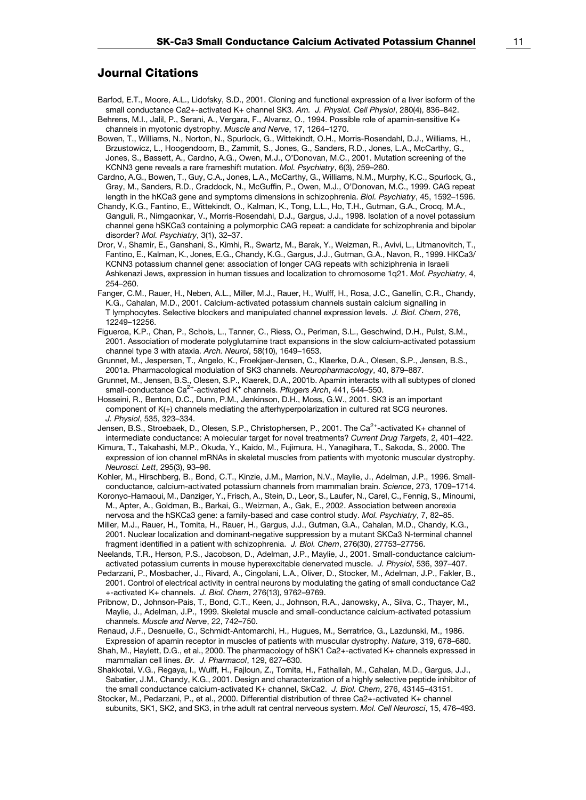#### <span id="page-10-0"></span>Journal Citations

- Barfod, E.T., Moore, A.L., Lidofsky, S.D., 2001. Cloning and functional expression of a liver isoform of the small conductance Ca2+-activated K+ channel SK3, Am. J. Physiol, Cell Physiol, 280(4), 836–842.
- Behrens, M.I., Jalil, P., Serani, A., Vergara, F., Alvarez, O., 1994. Possible role of apamin-sensitive K+ channels in myotonic dystrophy. Muscle and Nerve, 17, 1264–1270.

Bowen, T., Williams, N., Norton, N., Spurlock, G., Wittekindt, O.H., Morris-Rosendahl, D.J., Williams, H., Brzustowicz, L., Hoogendoorn, B., Zammit, S., Jones, G., Sanders, R.D., Jones, L.A., McCarthy, G., Jones, S., Bassett, A., Cardno, A.G., Owen, M.J., O'Donovan, M.C., 2001. Mutation screening of the KCNN3 gene reveals a rare frameshift mutation. Mol. Psychiatry, 6(3), 259–260.

Cardno, A.G., Bowen, T., Guy, C.A., Jones, L.A., McCarthy, G., Williams, N.M., Murphy, K.C., Spurlock, G., Gray, M., Sanders, R.D., Craddock, N., McGuffin, P., Owen, M.J., O'Donovan, M.C., 1999. CAG repeat length in the hKCa3 gene and symptoms dimensions in schizophrenia. Biol. Psychiatry, 45, 1592-1596.

Chandy, K.G., Fantino, E., Wittekindt, O., Kalman, K., Tong, L.L., Ho, T.H., Gutman, G.A., Crocq, M.A., Ganguli, R., Nimgaonkar, V., Morris-Rosendahl, D.J., Gargus, J.J., 1998. Isolation of a novel potassium channel gene hSKCa3 containing a polymorphic CAG repeat: a candidate for schizophrenia and bipolar disorder? Mol. Psychiatry, 3(1), 32–37.

Dror, V., Shamir, E., Ganshani, S., Kimhi, R., Swartz, M., Barak, Y., Weizman, R., Avivi, L., Litmanovitch, T., Fantino, E., Kalman, K., Jones, E.G., Chandy, K.G., Gargus, J.J., Gutman, G.A., Navon, R., 1999. HKCa3/ KCNN3 potassium channel gene: association of longer CAG repeats with schiziphrenia in Israeli Ashkenazi Jews, expression in human tissues and localization to chromosome 1q21. Mol. Psychiatry, 4, 254–260.

Fanger, C.M., Rauer, H., Neben, A.L., Miller, M.J., Rauer, H., Wulff, H., Rosa, J.C., Ganellin, C.R., Chandy, K.G., Cahalan, M.D., 2001. Calcium-activated potassium channels sustain calcium signalling in T lymphocytes. Selective blockers and manipulated channel expression levels. J. Biol. Chem, 276, 12249–12256.

Figueroa, K.P., Chan, P., Schols, L., Tanner, C., Riess, O., Perlman, S.L., Geschwind, D.H., Pulst, S.M., 2001. Association of moderate polyglutamine tract expansions in the slow calcium-activated potassium channel type 3 with ataxia. Arch. Neurol, 58(10), 1649–1653.

Grunnet, M., Jespersen, T., Angelo, K., Froekjaer-Jensen, C., Klaerke, D.A., Olesen, S.P., Jensen, B.S., 2001a. Pharmacological modulation of SK3 channels. Neuropharmacology, 40, 879–887.

Grunnet, M., Jensen, B.S., Olesen, S.P., Klaerek, D.A., 2001b. Apamin interacts with all subtypes of cloned small-conductance  $Ca^{2+}$ -activated K<sup>+</sup> channels. *Pflugers Arch*, 441, 544–550.

Hosseini, R., Benton, D.C., Dunn, P.M., Jenkinson, D.H., Moss, G.W., 2001. SK3 is an important component of K(+) channels mediating the afterhyperpolarization in cultured rat SCG neurones. J. Physiol, 535, 323–334.

Jensen, B.S., Stroebaek, D., Olesen, S.P., Christophersen, P., 2001. The Ca<sup>2+</sup>-activated K+ channel of intermediate conductance: A molecular target for novel treatments? Current Drug Targets, 2, 401-422.

Kimura, T., Takahashi, M.P., Okuda, Y., Kaido, M., Fujimura, H., Yanagihara, T., Sakoda, S., 2000. The expression of ion channel mRNAs in skeletal muscles from patients with myotonic muscular dystrophy. Neurosci. Lett, 295(3), 93–96.

Kohler, M., Hirschberg, B., Bond, C.T., Kinzie, J.M., Marrion, N.V., Maylie, J., Adelman, J.P., 1996. Smallconductance, calcium-activated potassium channels from mammalian brain. Science, 273, 1709–1714.

Koronyo-Hamaoui, M., Danziger, Y., Frisch, A., Stein, D., Leor, S., Laufer, N., Carel, C., Fennig, S., Minoumi, M., Apter, A., Goldman, B., Barkai, G., Weizman, A., Gak, E., 2002. Association between anorexia nervosa and the hSKCa3 gene: a family-based and case control study. Mol. Psychiatry, 7, 82–85.

Miller, M.J., Rauer, H., Tomita, H., Rauer, H., Gargus, J.J., Gutman, G.A., Cahalan, M.D., Chandy, K.G., 2001. Nuclear localization and dominant-negative suppression by a mutant SKCa3 N-terminal channel fragment identified in a patient with schizophrenia. J. Biol. Chem, 276(30), 27753-27756.

Neelands, T.R., Herson, P.S., Jacobson, D., Adelman, J.P., Maylie, J., 2001. Small-conductance calciumactivated potassium currents in mouse hyperexcitable denervated muscle. J. Physiol, 536, 397–407.

Pedarzani, P., Mosbacher, J., Rivard, A., Cingolani, L.A., Oliver, D., Stocker, M., Adelman, J.P., Fakler, B., 2001. Control of electrical activity in central neurons by modulating the gating of small conductance Ca2 +-activated K+ channels. J. Biol. Chem, 276(13), 9762–9769.

Pribnow, D., Johnson-Pais, T., Bond, C.T., Keen, J., Johnson, R.A., Janowsky, A., Silva, C., Thayer, M., Maylie, J., Adelman, J.P., 1999. Skeletal muscle and small-conductance calcium-activated potassium channels. Muscle and Nerve, 22, 742–750.

Renaud, J.F., Desnuelle, C., Schmidt-Antomarchi, H., Hugues, M., Serratrice, G., Lazdunski, M., 1986. Expression of apamin receptor in muscles of patients with muscular dystrophy. Nature, 319, 678–680.

Shah, M., Haylett, D.G., et al., 2000. The pharmacology of hSK1 Ca2+-activated K+ channels expressed in mammalian cell lines. Br. J. Pharmacol, 129, 627–630.

Shakkotai, V.G., Regaya, I., Wulff, H., Fajloun, Z., Tomita, H., Fathallah, M., Cahalan, M.D., Gargus, J.J., Sabatier, J.M., Chandy, K.G., 2001. Design and characterization of a highly selective peptide inhibitor of the small conductance calcium-activated K+ channel, SkCa2. J. Biol. Chem, 276, 43145–43151.

Stocker, M., Pedarzani, P., et al., 2000. Differential distribution of three Ca2+-activated K+ channel subunits, SK1, SK2, and SK3, in trhe adult rat central nerveous system. Mol. Cell Neurosci, 15, 476-493.